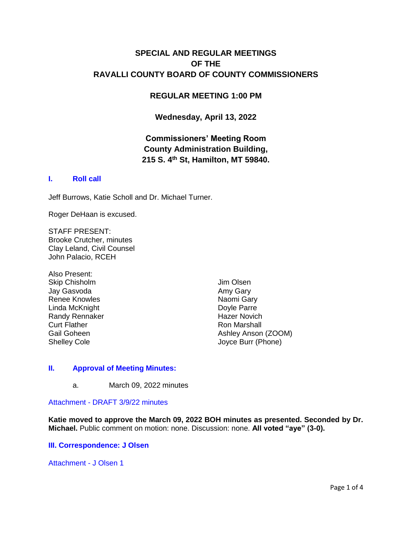# **SPECIAL AND REGULAR MEETINGS OF THE RAVALLI COUNTY BOARD OF COUNTY COMMISSIONERS**

### **REGULAR MEETING 1:00 PM**

### **Wednesday, April 13, 2022**

# **Commissioners' Meeting Room County Administration Building, 215 S. 4th St, Hamilton, MT 59840.**

### **I. [Roll call](http://ravalli-mt.granicus.com/wordlinkreceiver.php?clip_id=0ab9f419-3d93-429f-bc5c-32815c38b1da&meta_id=89864555-124c-48de-8970-7d8f3fcc209e&time=4)**

Jeff Burrows, Katie Scholl and Dr. Michael Turner.

Roger DeHaan is excused.

STAFF PRESENT: Brooke Crutcher, minutes Clay Leland, Civil Counsel John Palacio, RCEH

Also Present: Skip Chisholm Jay Gasvoda Renee Knowles Linda McKnight Randy Rennaker Curt Flather Gail Goheen Shelley Cole

Jim Olsen Amy Gary Naomi Gary Doyle Parre Hazer Novich Ron Marshall Ashley Anson (ZOOM) Joyce Burr (Phone)

#### **II. [Approval of Meeting Minutes:](http://ravalli-mt.granicus.com/wordlinkreceiver.php?clip_id=0ab9f419-3d93-429f-bc5c-32815c38b1da&meta_id=0ba2ffef-da6f-47c5-b9d3-95915057d4ea&time=35)**

a. March 09, 2022 minutes

Attachment - [DRAFT 3/9/22 minutes](http://ravalli-mt.granicus.com/DocumentViewer.php?file=ravalli-mt_656fba6395a547f0b0f5491b43a854b4.pdf)

**Katie moved to approve the March 09, 2022 BOH minutes as presented. Seconded by Dr. Michael.** Public comment on motion: none. Discussion: none. **All voted "aye" (3-0).** 

#### **[III. Correspondence: J Olsen](http://ravalli-mt.granicus.com/wordlinkreceiver.php?clip_id=0ab9f419-3d93-429f-bc5c-32815c38b1da&meta_id=ec1c5be3-1096-40c6-a3a9-9d1d521a3bb2&time=50)**

[Attachment -](http://ravalli-mt.granicus.com/DocumentViewer.php?file=ravalli-mt_fd2188b55187dd2a2f35d8562c218649.pdf) J Olsen 1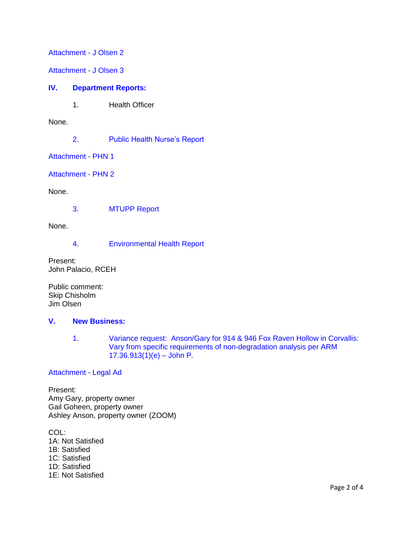[Attachment -](http://ravalli-mt.granicus.com/DocumentViewer.php?file=ravalli-mt_88a1f156684159701e8e42d76ee39710.pdf) J Olsen 2

[Attachment -](http://ravalli-mt.granicus.com/DocumentViewer.php?file=ravalli-mt_b9611e06b6ce883edb8059398c1838f4.pdf) J Olsen 3

#### **IV. [Department Reports:](http://ravalli-mt.granicus.com/wordlinkreceiver.php?clip_id=0ab9f419-3d93-429f-bc5c-32815c38b1da&meta_id=85a85e50-975d-4e59-9bef-13363bd25384&time=66)**

1. Health Officer

None.

2. [Public Health Nurse's Report](http://ravalli-mt.granicus.com/wordlinkreceiver.php?clip_id=0ab9f419-3d93-429f-bc5c-32815c38b1da&meta_id=a509f089-00f6-403d-aa9f-d1297e0a715a&time=71)

[Attachment -](http://ravalli-mt.granicus.com/DocumentViewer.php?file=ravalli-mt_367b8356bc0a96b622fc1788ce3bbd7d.pdf) PHN 1

[Attachment -](http://ravalli-mt.granicus.com/DocumentViewer.php?file=ravalli-mt_2e0e8fe88fa64b1c192010fbb2b29023.pdf) PHN 2

None.

3. [MTUPP Report](http://ravalli-mt.granicus.com/wordlinkreceiver.php?clip_id=0ab9f419-3d93-429f-bc5c-32815c38b1da&meta_id=3fdd49ee-dfef-4681-9e8b-d8338810569b&time=77)

None.

4. [Environmental Health Report](http://ravalli-mt.granicus.com/wordlinkreceiver.php?clip_id=0ab9f419-3d93-429f-bc5c-32815c38b1da&meta_id=170a08cb-14c6-4ccc-b06b-2366cc718eee&time=97)

Present: John Palacio, RCEH

Public comment: Skip Chisholm Jim Olsen

#### **V. [New Business:](http://ravalli-mt.granicus.com/wordlinkreceiver.php?clip_id=0ab9f419-3d93-429f-bc5c-32815c38b1da&meta_id=96832a76-775b-449c-a28e-194b7ac0ed11&time=661)**

1. [Variance request: Anson/Gary for 914 & 946 Fox Raven Hollow in Corvallis:](http://ravalli-mt.granicus.com/wordlinkreceiver.php?clip_id=0ab9f419-3d93-429f-bc5c-32815c38b1da&meta_id=20e7135b-7711-4aa3-b3f4-c0914cbadf79&time=663)  [Vary from specific requirements of non-degradation analysis per ARM](http://ravalli-mt.granicus.com/wordlinkreceiver.php?clip_id=0ab9f419-3d93-429f-bc5c-32815c38b1da&meta_id=20e7135b-7711-4aa3-b3f4-c0914cbadf79&time=663)   $17.36.913(1)(e) -$  John P.

#### [Attachment -](http://ravalli-mt.granicus.com/DocumentViewer.php?file=ravalli-mt_0dc7479a741a27c56df762708ca18790.pdf) Legal Ad

Present: Amy Gary, property owner Gail Goheen, property owner Ashley Anson, property owner (ZOOM)

COL: 1A: Not Satisfied 1B: Satisfied 1C: Satisfied 1D: Satisfied 1E: Not Satisfied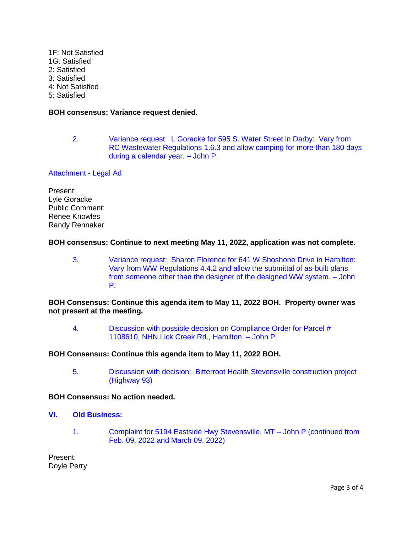- 1F: Not Satisfied
- 1G: Satisfied
- 2: Satisfied
- 3: Satisfied 4: Not Satisfied
- 
- 5: Satisfied

## **BOH consensus: Variance request denied.**

2. Variance request: L Goracke [for 595 S. Water Street in Darby: Vary from](http://ravalli-mt.granicus.com/wordlinkreceiver.php?clip_id=0ab9f419-3d93-429f-bc5c-32815c38b1da&meta_id=c906148f-8c41-40dd-a5b5-3bb9c432b182&time=9417)  [RC Wastewater Regulations 1.6.3 and allow camping for more than 180 days](http://ravalli-mt.granicus.com/wordlinkreceiver.php?clip_id=0ab9f419-3d93-429f-bc5c-32815c38b1da&meta_id=c906148f-8c41-40dd-a5b5-3bb9c432b182&time=9417)  [during a calendar year. –](http://ravalli-mt.granicus.com/wordlinkreceiver.php?clip_id=0ab9f419-3d93-429f-bc5c-32815c38b1da&meta_id=c906148f-8c41-40dd-a5b5-3bb9c432b182&time=9417) John P.

## [Attachment -](http://ravalli-mt.granicus.com/DocumentViewer.php?file=ravalli-mt_07844e1f6df122f03e366e5209e79082.pdf) Legal Ad

Present: Lyle Goracke Public Comment: Renee Knowles Randy Rennaker

## **BOH consensus: Continue to next meeting May 11, 2022, application was not complete.**

3. [Variance request: Sharon Florence for 641 W Shoshone Drive in Hamilton:](http://ravalli-mt.granicus.com/wordlinkreceiver.php?clip_id=0ab9f419-3d93-429f-bc5c-32815c38b1da&meta_id=0775d497-5a21-4f57-adf2-ccc400bedc46&time=11224)  [Vary from WW Regulations 4.4.2 and allow the submittal of as-built plans](http://ravalli-mt.granicus.com/wordlinkreceiver.php?clip_id=0ab9f419-3d93-429f-bc5c-32815c38b1da&meta_id=0775d497-5a21-4f57-adf2-ccc400bedc46&time=11224)  [from someone other than the designer of the designed WW system. –](http://ravalli-mt.granicus.com/wordlinkreceiver.php?clip_id=0ab9f419-3d93-429f-bc5c-32815c38b1da&meta_id=0775d497-5a21-4f57-adf2-ccc400bedc46&time=11224) John [P.](http://ravalli-mt.granicus.com/wordlinkreceiver.php?clip_id=0ab9f419-3d93-429f-bc5c-32815c38b1da&meta_id=0775d497-5a21-4f57-adf2-ccc400bedc46&time=11224)

### **BOH Consensus: Continue this agenda item to May 11, 2022 BOH. Property owner was not present at the meeting.**

4. [Discussion with possible decision on Compliance Order for Parcel #](http://ravalli-mt.granicus.com/wordlinkreceiver.php?clip_id=0ab9f419-3d93-429f-bc5c-32815c38b1da&meta_id=cfe9385f-0a7b-4377-b511-59ecbbc9113c&time=11315)  [1108610, NHN Lick Creek Rd.,](http://ravalli-mt.granicus.com/wordlinkreceiver.php?clip_id=0ab9f419-3d93-429f-bc5c-32815c38b1da&meta_id=cfe9385f-0a7b-4377-b511-59ecbbc9113c&time=11315) Hamilton. – John P.

## **BOH Consensus: Continue this agenda item to May 11, 2022 BOH.**

5. [Discussion with decision: Bitterroot Health Stevensville construction project](http://ravalli-mt.granicus.com/wordlinkreceiver.php?clip_id=0ab9f419-3d93-429f-bc5c-32815c38b1da&meta_id=b819563f-03fc-4be8-a6c3-44761649822a&time=11359)  [\(Highway 93\)](http://ravalli-mt.granicus.com/wordlinkreceiver.php?clip_id=0ab9f419-3d93-429f-bc5c-32815c38b1da&meta_id=b819563f-03fc-4be8-a6c3-44761649822a&time=11359)

## **BOH Consensus: No action needed.**

- **VI. [Old Business:](http://ravalli-mt.granicus.com/wordlinkreceiver.php?clip_id=0ab9f419-3d93-429f-bc5c-32815c38b1da&meta_id=50537e17-beda-4446-bcfe-45d621568afc&time=11388)**
	- 1. [Complaint for 5194 Eastside Hwy Stevensville, MT –](http://ravalli-mt.granicus.com/wordlinkreceiver.php?clip_id=0ab9f419-3d93-429f-bc5c-32815c38b1da&meta_id=e41786d4-4198-4a88-9aeb-2aa53f6f821e&time=11407) John P (continued from [Feb. 09, 2022 and March 09, 2022\)](http://ravalli-mt.granicus.com/wordlinkreceiver.php?clip_id=0ab9f419-3d93-429f-bc5c-32815c38b1da&meta_id=e41786d4-4198-4a88-9aeb-2aa53f6f821e&time=11407)

Present: Doyle Perry